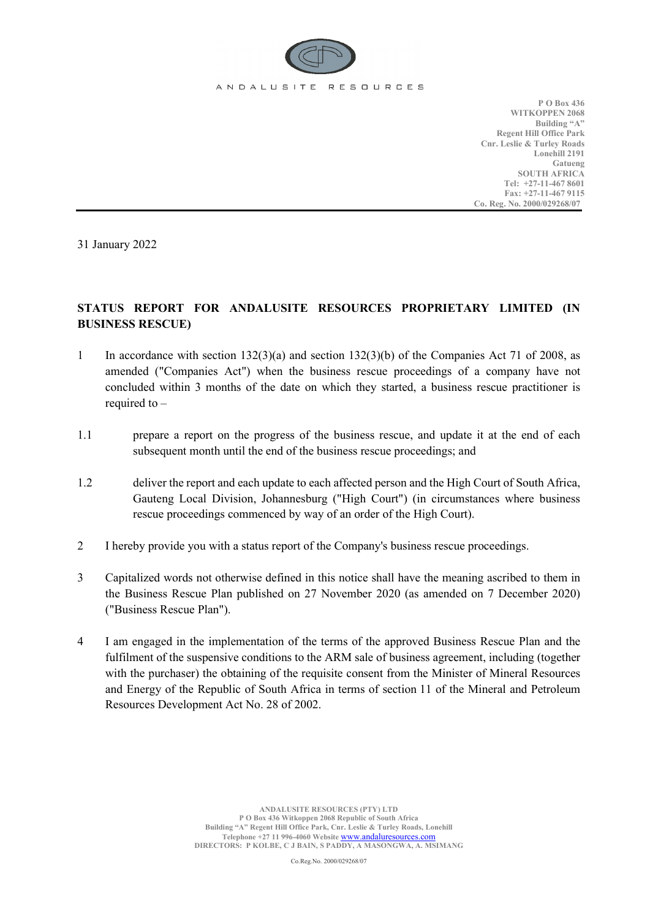

**P O Box 436 WITKOPPEN 2068 Building "A" Regent Hill Office Park Cnr. Leslie & Turley Roads Lonehill 2191 Gatueng SOUTH AFRICA Tel: +27-11-467 8601 Fax: +27-11-467 9115 Co. Reg. No. 2000/029268/07**

31 January 2022

## **STATUS REPORT FOR ANDALUSITE RESOURCES PROPRIETARY LIMITED (IN BUSINESS RESCUE)**

- 1 In accordance with section 132(3)(a) and section 132(3)(b) of the Companies Act 71 of 2008, as amended ("Companies Act") when the business rescue proceedings of a company have not concluded within 3 months of the date on which they started, a business rescue practitioner is required to –
- 1.1 prepare a report on the progress of the business rescue, and update it at the end of each subsequent month until the end of the business rescue proceedings; and
- 1.2 deliver the report and each update to each affected person and the High Court of South Africa, Gauteng Local Division, Johannesburg ("High Court") (in circumstances where business rescue proceedings commenced by way of an order of the High Court).
- 2 I hereby provide you with a status report of the Company's business rescue proceedings.
- 3 Capitalized words not otherwise defined in this notice shall have the meaning ascribed to them in the Business Rescue Plan published on 27 November 2020 (as amended on 7 December 2020) ("Business Rescue Plan").
- 4 I am engaged in the implementation of the terms of the approved Business Rescue Plan and the fulfilment of the suspensive conditions to the ARM sale of business agreement, including (together with the purchaser) the obtaining of the requisite consent from the Minister of Mineral Resources and Energy of the Republic of South Africa in terms of section 11 of the Mineral and Petroleum Resources Development Act No. 28 of 2002.